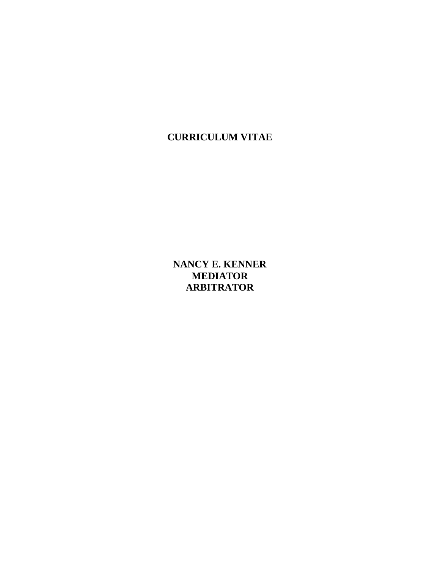**CURRICULUM VITAE**

**NANCY E. KENNER MEDIATOR ARBITRATOR**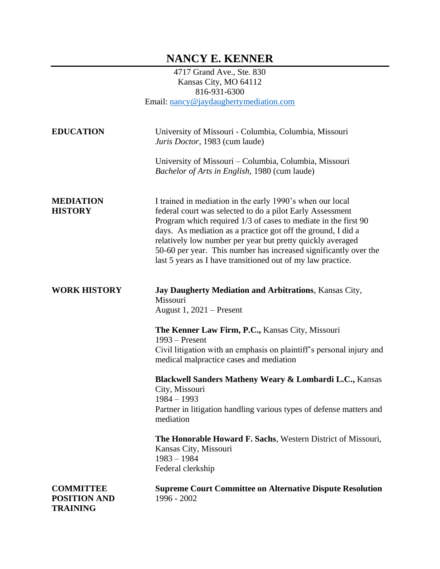## **NANCY E. KENNER**

4717 Grand Ave., Ste. 830 Kansas City, MO 64112 816-931-6300 Email: [nancy@jaydaughertymediation.com](mailto:nancy@jaydaughertymediation.com)

| <b>EDUCATION</b>                                           | University of Missouri - Columbia, Columbia, Missouri<br>Juris Doctor, 1983 (cum laude)<br>University of Missouri – Columbia, Columbia, Missouri<br>Bachelor of Arts in English, 1980 (cum laude)                                                                                                                                                                                                                                                         |
|------------------------------------------------------------|-----------------------------------------------------------------------------------------------------------------------------------------------------------------------------------------------------------------------------------------------------------------------------------------------------------------------------------------------------------------------------------------------------------------------------------------------------------|
| <b>MEDIATION</b><br><b>HISTORY</b>                         | I trained in mediation in the early 1990's when our local<br>federal court was selected to do a pilot Early Assessment<br>Program which required 1/3 of cases to mediate in the first 90<br>days. As mediation as a practice got off the ground, I did a<br>relatively low number per year but pretty quickly averaged<br>50-60 per year. This number has increased significantly over the<br>last 5 years as I have transitioned out of my law practice. |
| <b>WORK HISTORY</b>                                        | Jay Daugherty Mediation and Arbitrations, Kansas City,<br>Missouri<br>August $1, 2021$ – Present<br>The Kenner Law Firm, P.C., Kansas City, Missouri<br>$1993$ – Present<br>Civil litigation with an emphasis on plaintiff's personal injury and<br>medical malpractice cases and mediation<br>Blackwell Sanders Matheny Weary & Lombardi L.C., Kansas<br>City, Missouri<br>$1984 - 1993$                                                                 |
|                                                            | Partner in litigation handling various types of defense matters and<br>mediation<br>The Honorable Howard F. Sachs, Western District of Missouri,<br>Kansas City, Missouri<br>$1983 - 1984$<br>Federal clerkship                                                                                                                                                                                                                                           |
| <b>COMMITTEE</b><br><b>POSITION AND</b><br><b>TRAINING</b> | <b>Supreme Court Committee on Alternative Dispute Resolution</b><br>1996 - 2002                                                                                                                                                                                                                                                                                                                                                                           |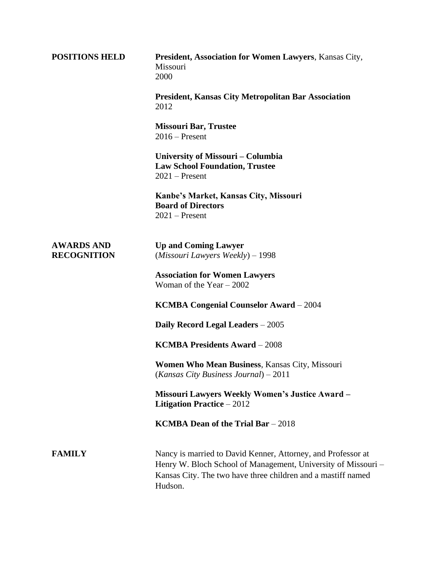| <b>POSITIONS HELD</b>                   | President, Association for Women Lawyers, Kansas City,<br>Missouri<br>2000                                                                                                                               |
|-----------------------------------------|----------------------------------------------------------------------------------------------------------------------------------------------------------------------------------------------------------|
|                                         | <b>President, Kansas City Metropolitan Bar Association</b><br>2012                                                                                                                                       |
|                                         | <b>Missouri Bar, Trustee</b><br>$2016$ – Present                                                                                                                                                         |
|                                         | University of Missouri – Columbia<br><b>Law School Foundation, Trustee</b><br>$2021$ – Present                                                                                                           |
|                                         | Kanbe's Market, Kansas City, Missouri<br><b>Board of Directors</b><br>$2021$ – Present                                                                                                                   |
| <b>AWARDS AND</b><br><b>RECOGNITION</b> | <b>Up and Coming Lawyer</b><br>$(Missouri Lawvers \textit{Weakly}) - 1998$                                                                                                                               |
|                                         | <b>Association for Women Lawyers</b><br>Woman of the Year $-2002$                                                                                                                                        |
|                                         | <b>KCMBA Congenial Counselor Award - 2004</b>                                                                                                                                                            |
|                                         | Daily Record Legal Leaders - 2005                                                                                                                                                                        |
|                                         | <b>KCMBA Presidents Award - 2008</b>                                                                                                                                                                     |
|                                         | Women Who Mean Business, Kansas City, Missouri<br>(Kansas City Business Journal) $-2011$                                                                                                                 |
|                                         | <b>Missouri Lawyers Weekly Women's Justice Award -</b><br><b>Litigation Practice</b> $-2012$                                                                                                             |
|                                         | <b>KCMBA Dean of the Trial Bar</b> $-2018$                                                                                                                                                               |
| <b>FAMILY</b>                           | Nancy is married to David Kenner, Attorney, and Professor at<br>Henry W. Bloch School of Management, University of Missouri -<br>Kansas City. The two have three children and a mastiff named<br>Hudson. |